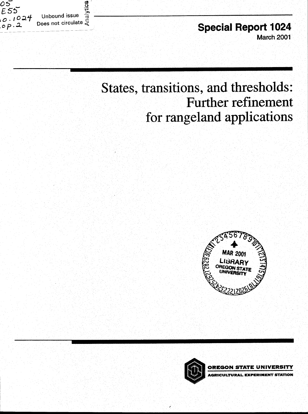

**Special Report 1024** March 2001

# **States, transitions, and thresholds: Further refinement for rangeland applications**





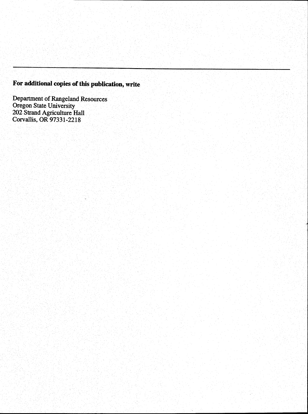# **For additional copies of this publication, write**

Department of Rangeland Resources Oregon State University 202 Strand Agriculture Hall Corvallis, OR 97331-2218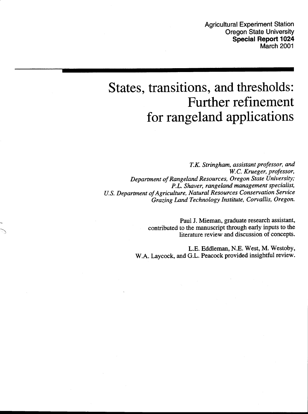# **States, transitions, and thresholds: Further refinement for rangeland applications**

*T.K. Stringham, assistant professor, and W.C. Krueger, professor, Department of Rangeland Resources, Oregon State University; P.L. Shaver, rangeland management specialist, U.S. Department of Agriculture, Natural Resources Conservation Service Grazing Land Technology Institute, Corvallis, Oregon.*

> Paul J. Mieman, graduate research assistant, contributed to the manuscript through early inputs to the literature review and discussion of concepts.

L.E. Eddleman, N.E. West, M. Westoby, W.A. Laycock, and G.L. Peacock provided insightful review.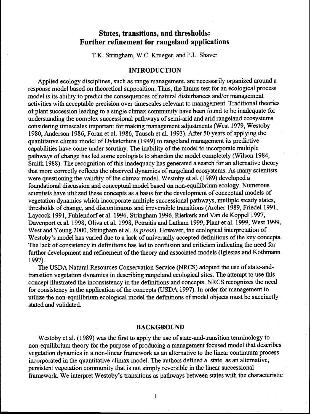# **States, transitions, and thresholds: Further refinement for rangeland applications**

T.K. Stringham, W.C. Krueger, and P.L. Shaver

#### **INTRODUCTION**

Applied ecology disciplines, such as range management, are necessarily organized around a response model based on theoretical supposition. Thus, the litmus test for an ecological process model is its ability to predict the consequences of natural disturbances and/or management activities with acceptable precision over timescales relevant to management. Traditional theories of plant succession leading to a single climax community have been found to be inadequate for understanding the complex successional pathways of semi-arid and arid rangeland ecosystems considering timescales important for making management adjustments (West 1979, Westoby 1980, Anderson 1986, Foran et al. 1986, Tausch et al. 1993). After 50 years of applying the quantitative climax model of Dyksterhuis (1949) to rangeland management its predictive capabilities have come under scrutiny. The inability of the model to incorporate multiple pathways of change has led some ecologists to abandon the model completely (Wilson 1984, Smith 1988). The recognition of this inadequacy has generated a search for an alternative theory that more correctly reflects the observed dynamics of rangeland ecosystems. As many scientists were questioning the validity of the climax model, Westoby et al. (1989) developed a foundational discussion and conceptual model based on non-equilibrium ecology. Numerous scientists have utilized these concepts as a basis for the development of conceptual models of vegetation dynamics which incorporate multiple successional pathways, multiple steady states, thresholds of change, and discontinuous and irreversible transitions (Archer 1989, Friedel 1991, Laycock 1991, Fuhlendorf et al. 1996, Stringham 1996, Rietkerk and Van de Koppel 1997, Davenport et al. 1998, Oliva et al. 1998, Petraitis and Latham 1999, Plant et al. 1999, West 1999, West and Young 2000, Stringham et al. *In press).* However, the ecological interpretation of Westoby's model has varied due to a lack of universally accepted definitions of the key concepts. The lack of consistency in defmitions has led to confusion and criticism indicating the need for further development and refinement of the theory and associated models (Iglesias and Kothmann 1997).

The USDA Natural Resources Conservation Service (NRCS) adopted the use of state-andtransition vegetation dynamics in describing rangeland ecological sites. The attempt to use this concept illustrated the inconsistency in the defmitions and concepts. NRCS recognizes the need for consistency in the application of the concepts (USDA 1997). In order for management to utilize the non-equilibrium ecological model the definitions of model objects must be succinctly stated and validated.

#### **BACKGROUND**

Westoby et al. (1989) was the first to apply the use of state-and-transition terminology to non-equilibrium theory for the purpose of producing a management focused model that describes vegetation dynamics in a non-linear framework as an alternative to the linear continuum process incorporated in the quantitative climax model. The authors defined a state as an alternative, persistent vegetation community that is not simply reversible in the linear successional framework. We interpret Westoby's transitions as pathways between states with the characteristic

 $\mathbf{1}$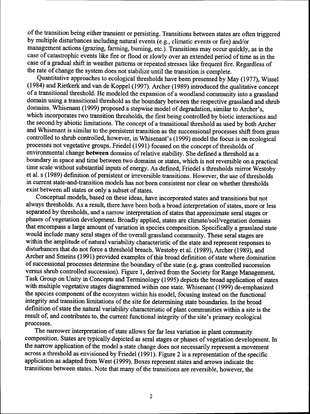of the transition being either transient or persisting. Transitions between states are often triggered by multiple disturbances including natural events (e.g., climatic events or fire) and/or management actions (grazing, farming, burning, etc.). Transitions may occur quickly, as in the case of catastrophic events like fire or flood or slowly over an extended period of time as in the case of a gradual shift in weather patterns or repeated stresses like frequent fire. Regardless of the rate of change the system does not stabilize until the transition is complete.

Quantitative approaches to ecological thresholds have been presented by May (1977), Wissel (1984) and Rietkerk and van de Koppel (1997). Archer (1989) introduced the qualitative concept of a transitional threshold. He modeled the expansion of a woodland community into a grassland domain using a transitional threshold as the boundary between the respective grassland and shrub domains. Whisenant (1999) proposed a stepwise model of degradation, similar to Archer's, which incorporates two transition thresholds, the first being controlled by biotic interactions and the second by abiotic limitations. The concept of a transitional threshold as used by both Archer and Whisenant is similar to the persistent transition as the successional processes shift from grass controlled to shrub controlled, however, in Whisenant's (1999) model the focus is on ecological processes not vegetative groups. Friedel (1991) focused on the concept of thresholds of environmental change **between** domains of relative stability. She defined a threshold as a boundary in space and time between two domains or states, which is not reversible on a practical time scale without substantial inputs of energy. As defined, Friedel s thresholds mirror Westoby et al. s (1989) defmition of persistent or irreversible transitions. However, the use of thresholds in current state-and-transition models has not been consistent nor clear on whether thresholds exist between all states or only a subset of states.

Conceptual models, based on these ideas, have incorporated states and transitions but not always thresholds. As a result, there have been both a broad interpretation of states, more or less separated by thresholds, and a narrow interpretation of states that approximate seral stages or phases of vegetation development. Broadly applied, states are climate/soil/vegetation domains that encompass a large amount of variation in species composition. Specifically a grassland state would include many seral stages of the overall grassland community. These seral stages are within the amplitude of natural variability characteristic of the state and represent responses to disturbances that do not force a threshold breach. Westoby et al. (1989), Archer (1989), and Archer and Smeins (1991) provided examples of this broad defmition of state where domination of successional processes determine the boundary of the state (e.g. grass controlled succession versus shrub controlled succession). Figure 1, derived from the Society for Range Management, Task Group on Unity in Concepts and Terminology (1995) depicts the broad application of states with multiple vegetative stages diagrammed within one state. Whisenant (1999) de-emphasized the species component of the ecosystem within his model, focusing instead on the functional integrity and transition limitations of the site for determining state boundaries. In the broad defmition of state the natural variability characteristic of plant communities within a site is the result of, and contributes to, the current functional integrity of the site's primary ecological processes.

The narrower interpretation of state allows for far less variation in plant community composition. States are typically depicted as seral stages or phases of vegetation development. In the narrow application of the model a state change does not necessarily represent a movement across a threshold as envisioned by Friedel (1991). Figure 2 is a representation of the specific application as adapted from West (1999). Boxes represent states and arrows indicate the transitions between states. Note that many of the transitions are reversible, however, the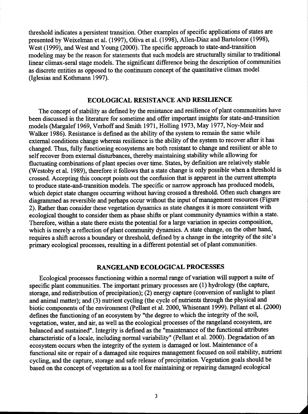threshold indicates a persistent transition. Other examples of specific applications of states are presented by Weixelman et al. (1997), Oliva et al. (1998), Allen-Diaz and Bartolome (1998), West (1999), and West and Young (2000). The specific approach to state-and-transition modeling may be the reason for statements that such models are structurally similar to traditional linear climax-seral stage models. The significant difference being the description of communities as discrete entities as opposed to the continuum concept of the quantitative climax model (Iglesias and Kothmann 1997).

## **ECOLOGICAL RESISTANCE AND RESILIENCE**

The concept of stability as defmed by the resistance and resilience of plant communities have been discussed in the literature for sometime and offer important insights for state-and-transition models (Margalef 1969, Verhoff and Smith 1971, Holling 1973, May 1977, Nov-Meir and Walker 1986). Resistance is defined as the ability of the system to remain the same while external conditions change whereas resilience is the ability of the system to recover after it has changed. Thus, fully functioning ecosystems are both resistant to change and resilient or able to self recover from external disturbances, thereby maintaining stability while allowing for fluctuating combinations of plant species over time. States, by defmition are relatively stable (Westoby et al. 1989), therefore it follows that a state change is only possible when a threshold is crossed. Accepting this concept points out the confusion that is apparent in the current attempts to produce state-and-transition models. The specific or narrow approach has produced models, which depict state changes occurring without having crossed a threshold. Often such changes are diagrammed as reversible and perhaps occur without the input of management resources (Figure 2). Rather than consider these vegetation dynamics as state changes it is more consistent with ecological thought to consider them as phase shifts or plant community dynamics within a state. Therefore, within a state there exists the potential for a large variation in species composition, which is merely a reflection of plant community dynamics. A state change, on the other hand, requires a shift across a boundary or threshold, defmed by a change in the integrity of the site's primary ecological processes, resulting in a different potential set of plant communities.

### **RANGELAND ECOLOGICAL PROCESSES**

Ecological processes functioning within a normal range of variation will support a suite of specific plant communities. The important primary processes are (1) hydrology (the capture, storage, and redistribution of precipitation); (2) energy capture (conversion of sunlight to plant and animal matter); and (3) nutrient cycling (the cycle of nutrients through the physical and biotic components of the environment (Pellant et al. 2000, Whisenant 1999). Pellant et al. (2000) defines the functioning of an ecosystem by "the degree to which the integrity of the soil, vegetation, water, and air, as well as the ecological processes of the rangeland ecosystem, are balanced and sustained". Integrity is defmed as the "maintenance of the functional attributes characteristic of a locale, including normal variability" (Pellant et al. 2000). Degradation of an ecosystem occurs when the integrity of the system is damaged or lost. Maintenance of a functional site or repair of a damaged site requires management focused on soil stability, nutrient cycling, and the capture, storage and safe release of precipitation. Vegetation goals should be based on the concept of vegetation as a tool for maintaining or repairing damaged ecological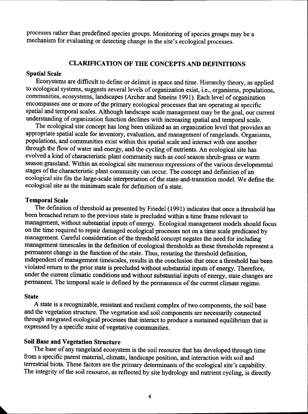processes rather than predefined species groups. Monitoring of species groups may be a mechanism for evaluating or detecting change in the site's ecological processes.

#### **CLARIFICATION OF THE CONCEPTS AND DEFINITIONS**

#### **Spatial Scale**

Ecosystems are difficult to defme or delimit in space and time. Hierarchy theory, as applied to ecological systems, suggests several levels of organization exist, i.e., organisms, populations, communities, ecosystems, landscapes (Archer and Smeins 1991). Each level of organization encompasses one or more of the primary ecological processes that are operating at specific spatial and temporal scales. Although landscape scale management may be the goal, our current understanding of organization function declines with increasing spatial and temporal scale.

The ecological site concept has long been utilized as an organization level that provides an appropriate spatial scale for inventory, evaluation, and management of rangelands. Organisms, populations, and communities exist within this spatial scale and interact with one another through the flow of water and energy, and the cycling of nutrients. An ecological site has evolved a kind of characteristic plant community such as cool season shrub-grass or warm season grassland. Within an ecological site numerous expressions of the various developmental stages of the characteristic plant community can occur. The concept and definition of an ecological site fits the large-scale interpretation of the state-and-transition model. We defme the ecological site as the minimum scale for definition of a state.

#### **Temporal Scale**

The definition of threshold as presented by Friedel (1991) indicates that once a threshold has been breached return to the previous state is precluded within a time frame relevant to management, without substantial inputs of energy. Ecological management models should focus on the time required to repair damaged ecological processes not on a time scale predicated by management. Careful consideration of the threshold concept negates the need for including management timescales in the defmition of ecological thresholds *as* these thresholds represent a permanent change in the function of the state. Thus, restating the threshold definition, independent of management timescales, results in the conclusion that once a threshold has been violated return to the prior state is precluded without substantial inputs of energy. Therefore, under the current climatic conditions and without substantial inputs of energy, state changes are permanent. The temporal scale is defined by the permanence of the current climate regime.

#### **State**

A state is a recognizable, resistant and resilient complex of two components, the soil base and the vegetation structure. The vegetation and soil components are necessarily connected through integrated ecological processes that interact to produce a sustained equilibrium that is expressed by a specific suite of vegetative communities.

## **Soil Base and Vegetation Structure**

The base of any rangeland ecosystem is the soil resource that has developed through time from a specific parent material, climate, landscape position, and interaction with soil and terrestrial biota. These factors are the primary determinants of the ecological site's capability. The integrity of the soil resource, as reflected by site hydrology and nutrient cycling, is directly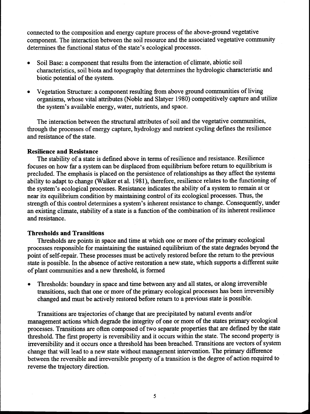connected to the composition and energy capture process of the above-ground vegetative component. The interaction between the soil resource and the associated vegetative community determines the functional status of the state's ecological processes.

- Soil Base: a component that results from the interaction of climate, abiotic soil characteristics, soil biota and topography that determines the hydrologic characteristic and biotic potential of the system.
- Vegetation Structure: a component resulting from above ground communities of living organisms, whose vital attributes (Noble and Slatyer 1980) competitively capture and utilize the system's available energy, water, nutrients, and space.

The interaction between the structural attributes of soil and the vegetative communities, through the processes of energy capture, hydrology and nutrient cycling defines the resilience and resistance of the state.

#### **Resilience and Resistance**

The stability of a state is defmed above in terms of resilience and resistance. Resilience focuses on how far a system can be displaced from equilibrium before return to equilibrium is precluded. The emphasis is placed on the persistence of relationships as they affect the systems ability to adapt to change (Walker et al. 1981), therefore, resilience relates to the functioning of the system's ecological processes. Resistance indicates the ability of a system to remain at or near its equilibrium condition by maintaining control of its ecological processes. Thus, the strength of this control determines a system's inherent resistance to change. Consequently, under an existing climate, stability of a state is a function of the combination of its inherent resilience and resistance.

#### **Thresholds and Transitions**

Thresholds are points in space and time at which one or more of the primary ecological processes responsible for maintaining the sustained equilibrium of the state degrades beyond the point of self-repair. These processes must be actively restored before the return to the previous state is possible. In the absence of active restoration a new state, which supports a different suite of plant communities and a new threshold, is formed

• Thresholds: boundary in space and time between any and all states, or along irreversible transitions, such that one or more of the primary ecological processes has been irreversibly changed and must be actively restored before return to a previous state is possible.

Transitions are trajectories of change that are precipitated by natural events and/or management actions which degrade the integrity of one or more of the states primary ecological processes. Transitions are often composed of two separate properties that are defmed by the state threshold. The first property is reversibility and it occurs within the state. The second property is irreversibility and it occurs once a threshold has been breached. Transitions are vectors of system change that will lead to a new state without management intervention. The primary difference between the reversible and irreversible property of a transition is the degree of action required to reverse the trajectory direction.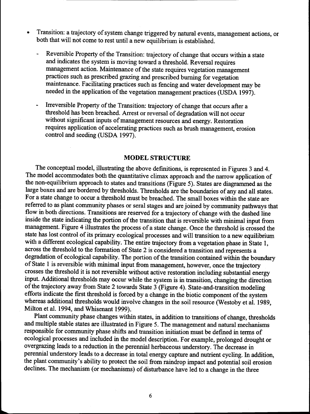- Transition: a trajectory of system change triggered by natural events, management actions, or both that will not come to rest until a new equilibrium is established.
	- Reversible Property of the Transition: trajectory of change that occurs within a state and indicates the system is moving toward a threshold. Reversal requires management action. Maintenance of the state requires vegetation management practices such as prescribed grazing and prescribed burning for vegetation maintenance. Facilitating practices such as fencing and water development may be needed in the application of the vegetation management practices (USDA 1997).
	- Irreversible Property of the Transition: trajectory of change that occurs after a threshold has been breached. Arrest or reversal of degradation will not occur without significant inputs of management resources and energy. Restoration requires application of accelerating practices such as brush management, erosion control and seeding (USDA 1997).

#### **MODEL STRUCTURE**

The conceptual model, illustrating the above definitions, is represented in Figures 3 and 4. The model accommodates both the quantitative climax approach and the narrow application of the non-equilibrium approach to states and transitions (Figure 5). States are diagrammed *as* the large boxes and are bordered by thresholds. Thresholds are the boundaries of any and all states. For a state change to occur a threshold must be breached. The small boxes within the state are referred to as plant community phases or seral stages and are joined by community pathways that flow in both directions. Transitions are reserved for a trajectory of change with the dashed line inside the state indicating the portion of the transition that is reversible with minimal input from management. Figure 4 illustrates the process of a state change. Once the threshold is crossed the state has lost control of its primary ecological processes and will transition to a new equilibrium with a different ecological capability. The entire trajectory from a vegetation phase in State 1, across the threshold to the formation of State 2 is considered a transition and represents a degradation of ecological capability. The portion of the transition contained within the boundary of State 1 is reversible with minimal input from management, however, once the trajectory crosses the threshold it is not reversible without active restoration including substantial energy input. Additional thresholds may occur while the system is in transition, changing the direction of the trajectory away from State 2 towards State 3 (Figure 4). State-and-transition modeling efforts indicate the first threshold is forced by a change in the biotic component of the system whereas additional thresholds would involve changes in the soil resource (Westoby et al. 1989, Milton et al. 1994, and Whisenant 1999).

Plant community phase changes within states, in addition to transitions of change, thresholds and multiple stable states are illustrated in Figure 5. The management and natural mechanisms responsible for community phase shifts and transition initiation must be defined in terms of ecological processes and included in the model description. For example, prolonged drought or overgrazing leads to a reduction in the perennial herbaceous understory. The decrease in perennial understory leads to a decrease in total energy capture and nutrient cycling. In addition, the plant community's ability to protect the soil from raindrop impact and potential soil erosion declines. The mechanism (or mechanisms) of disturbance have led to a change in the three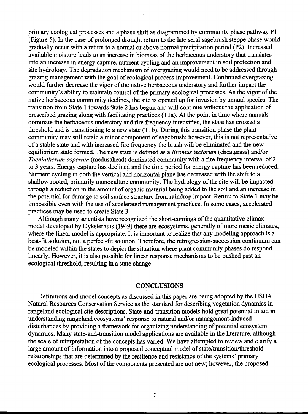primary ecological processes and a phase shift as diagrammed by community phase pathway P1 (Figure 5). In the case of prolonged drought return to the late seral sagebrush steppe phase would gradually occur with a return to a normal or above normal precipitation period (P2). Increased available moisture leads to an increase in biomass of the herbaceous understory that translates into an increase in energy capture, nutrient cycling and an improvement in soil protection and site hydrology. The degradation mechanism of overgrazing would need to be addressed through grazing management with the goal of ecological process improvement. Continued overgrazing would further decrease the vigor of the native herbaceous understory and further impact the community's ability to maintain control of the primary ecological processes. As the vigor of the native herbaceous community declines, the site is opened up for invasion by annual species. The transition from State 1 towards State 2 has begun and will continue without the application of prescribed grazing along with facilitating practices (Tla). At the point in time where annuals dominate the herbaceous understory and fire frequency intensifies, the state has crossed a threshold and is transitioning to a new state (T1b). During this transition phase the plant community may still retain a minor component of sagebrush; however, this is not representative of a stable state and with increased fire frequency the brush will be eliminated and the new equilibrium state formed. The new state is defined as a *Bromus tectorum* (cheatgrass) and/or *Taeniatherum asperum* (medusahead) dominated community with a fire frequency interval of 2 to 3 years. Energy capture has declined and the time period for energy capture has been reduced. Nutrient cycling in both the vertical and horizontal plane has decreased with the shift to a shallow rooted, primarily monoculture community. The hydrology of the site will be impacted through a reduction in the amount of organic material being added to the soil and an increase in the potential for damage to soil surface structure from raindrop impact. Return to State 1 may be impossible even with the use of accelerated management practices. In some cases, accelerated practices may be used to create State 3.

Although many scientists have recognized the short-comings of the quantitative climax model developed by Dyksterhuis (1949) there are ecosystems, generally of more mesic climates, where the linear model is appropriate. It is important to realize that any modeling approach is a best-fit solution, not a perfect-fit solution. Therefore, the retrogression-succession continuum can be modeled within the states to depict the situation where plant community phases do respond linearly. However, it is also possible for linear response mechanisms to be pushed past an ecological threshold, resulting in a state change.

#### **CONCLUSIONS**

Definitions and model concepts as discussed in this paper are being adopted by the USDA Natural Resources Conservation Service as the standard for describing vegetation dynamics in rangeland ecological site descriptions. State-and-transition models hold great potential to aid in understanding rangeland ecosystems' response to natural and/or management-induced disturbances by providing a framework for organizing understanding of potential ecosystem dynamics. Many state-and-transition model applications are available in the literature, although the scale of interpretation of the concepts has varied. We have attempted to review and clarify a large amount of information into a proposed conceptual model of state/transition/threshold relationships that are determined by the resilience and resistance of the systems' primary ecological processes. Most of the components presented are not new; however, the proposed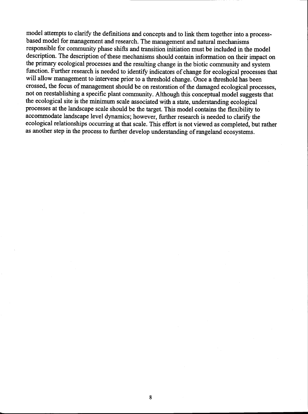model attempts to clarify the definitions and concepts and to link them together into a processbased model for management and research. The management and natural mechanisms responsible for community phase shifts and transition initiation must be included in the model description. The description of these mechanisms should contain information on their impact on the primary ecological processes and the resulting change in the biotic community and system function. Further research is needed to identify indicators of change for ecological processes that will allow management to intervene prior to a threshold change. Once a threshold has been crossed, the focus of management should be on restoration of the damaged ecological processes, not on reestablishing a specific plant community. Although this conceptual model suggests that the ecological site is the minimum scale associated with a state, understanding ecological processes at the landscape scale should be the target. This model contains the flexibility to accommodate landscape level dynamics; however, further research is needed to clarify the ecological relationships occurring at that scale. This effort is not viewed as completed, but rather as another step in the process to further develop understanding of rangeland ecosystems.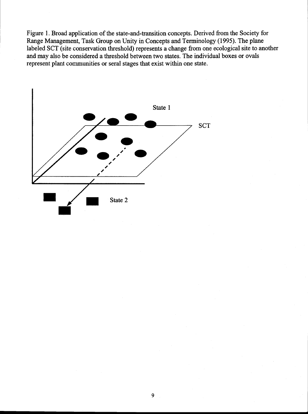Figure 1. Broad application of the state-and-transition concepts. Derived from the Society for Range Management, Task Group on Unity in Concepts and Terminology (1995). The plane labeled SCT (site conservation threshold) represents a change from one ecological site to another and may also be considered a threshold between two states. The individual boxes or ovals represent plant communities or seral stages that exist within one state.

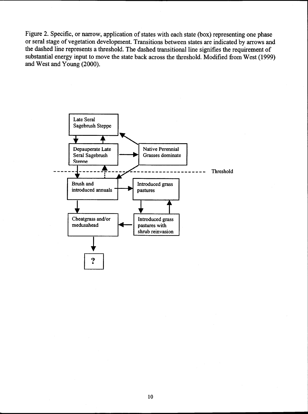Figure 2. Specific, or narrow, application of states with each state (box) representing one phase or seral stage of vegetation development. Transitions between states are indicated by arrows and the dashed line represents a threshold. The dashed transitional line signifies the requirement of substantial energy input to move the state back across the threshold. Modified from West (1999) and West and Young (2000).

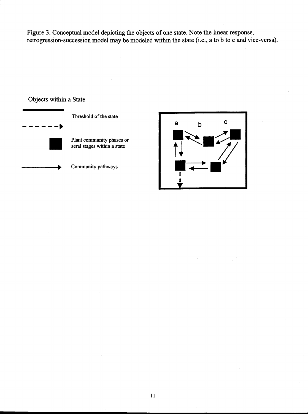Figure 3. Conceptual model depicting the objects of one state. Note the linear response, retrogression-succession model may be modeled within the state (i.e., a to b to c and vice-versa



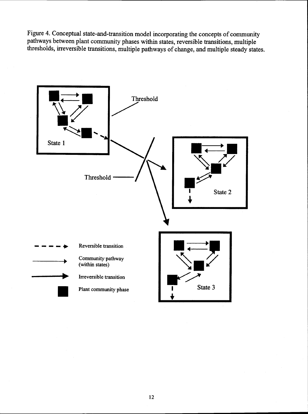Figure 4. Conceptual state-and-transition model incorporating the concepts of community pathways between plant community phases within states, reversible transitions, multiple thresholds, irreversible transitions, multiple pathways of change, and multiple steady states.

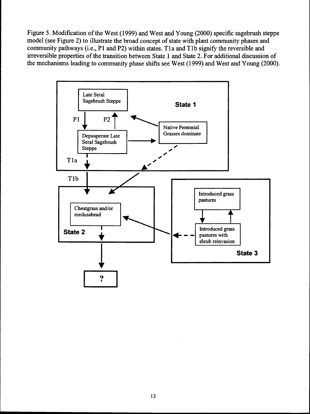Figure 5. Modification of the West (1999) and West and Young (2000) specific sagebrush steppe model (see Figure 2) to illustrate the broad concept of state with plant community phases and community pathways (i.e., P1 and P2) within states. Tla and T lb signify the reversible and irreversible properties of the transition between State 1 and State 2. For additional discussion of the mechanisms leading to community phase shifts see West (1999) and West and Young (2000).

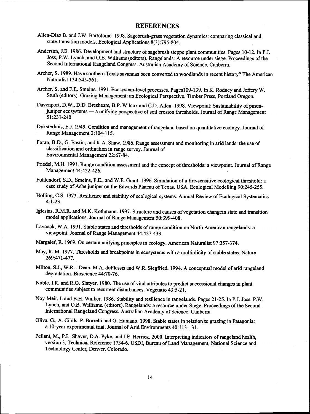#### **REFERENCES**

- Allen-Diaz B. and J.W. Bartolome. 1998. Sagebrush-grass vegetation dynamics: comparing classical and state-transition models. Ecological Applications 8(3):795-804.
- Anderson, J.E. 1986. Development and structure of sagebrush steppe plant communities. Pages 10-12. In P.J. Joss, P.W. Lynch, and O.B. Williams (editors). Rangelands: A resource under siege. Proceedings of the Second International Rangeland Congress. Australian Academy of Science, Canberra.
- Archer, S. 1989. Have southern Texas savannas been converted to woodlands in recent history? The American Naturalist 134:545-561.
- Archer, S. and F.E. Smeins. 1991. Ecosystem-level processes. Pages109-139. In K. Rodney and Jeffery W. Stuth (editors). Grazing Management: an Ecological Perspective. Timber Press, Portland Oregon.
- Davenport, D.W., D.D. Breshears, B.P. Wilcox and C.D. Allen. 1998. Viewpoint: Sustainability of pinonjuniper ecosystems - a unifying perspective of soil erosion thresholds. Journal of Range Management 51:231-240.
- Dyksterhuis, E.J. 1949. Condition and management of rangeland based on quantitative ecology. Journal of Range Management 2:104-115.
- Foran, B.D., G. Bastin, and K.A. Shaw. 1986. Range assessment and monitoring in arid lands: the use of classification and ordination in range survey. Journal of Environmental Management 22:67-84.
- Friedel, M.H. 1991. Range condition assessment and the concept of thresholds: a viewpoint. Journal of Range Management 44:422-426.
- Fuhlendorf, S.D., Smeins, F.E., and W.E. Grant. 1996. Simulation of a fire-sensitive ecological threshold: a case study of Ashe juniper on the Edwards Plateau of Texas, USA. Ecological Modelling 90:245-255.
- Holling, C.S. 1973. Resilience and stability of ecological systems. Annual Review of Ecological Systematics 4:1-23.
- Iglesias, R.M.R. and M.K. Kothmann. 1997. Structure and causes of vegetation changein state and transition model applications. Journal of Range Management 50:399-408.
- Laycock, W.A. 1991. Stable states and thresholds of range condition on North American rangelands: a viewpoint. Journal of Range Management 44:427-433.
- Margalef, R. 1969. On certain unifying principles in ecology. American Naturalist 97:357-374.
- May, R. M. 1977. Thresholds and breakpoints in ecosystems with a multiplicity of stable states. Nature 269:471-477.
- Milton, S.J., W.R. . Dean, M.A. duPlessis and W.R. Siegfried. 1994. A conceptual model of arid rangeland degradation. Bioscience 44:70-76.
- Noble, I.R. and R.O. Slatyer. 1980. The use of vital attributes to predict successional changes in plant communities subject to recurrent disturbances. Vegetatio 43:5-21.
- Noy-Meir, I. and B.H. Walker. 1986. Stability and resilience in rangelands. Pages 21-25. In P.J. Joss, P.W. Lynch, and O.B. Williams. (editors). Rangelands: a resource under Siege. Proceedings of the Second International Rangeland Congress. Australian Academy of Science. Canberra.
- Oliva, G., A. Cibils, P. Borrelli and G. Humano. 1998. Stable states in relation to grazing in Patagonia: a 10-year experimental trial. Journal of Arid Environments 40:113-131.
- Pellant, M., P.L. Shaver, D.A. Pyke, and J.E. Herrick. 2000. Interpreting indicators of rangeland health, version 3, Technical Reference 1734-6. USDI, Bureau of Land Management, National Science and Technology Center, Denver, Colorado.